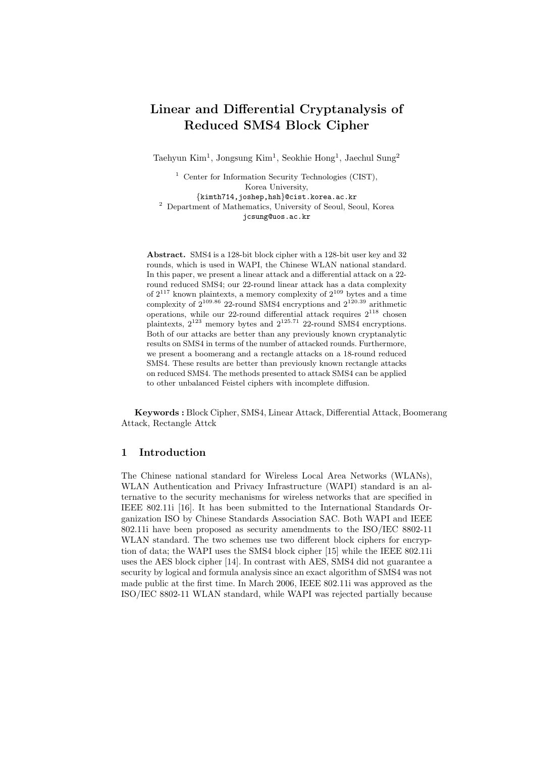# Linear and Differential Cryptanalysis of Reduced SMS4 Block Cipher

Taehyun Kim<sup>1</sup>, Jongsung Kim<sup>1</sup>, Seokhie Hong<sup>1</sup>, Jaechul Sung<sup>2</sup>

<sup>1</sup> Center for Information Security Technologies (CIST), Korea University, {kimth714,joshep,hsh}@cist.korea.ac.kr <sup>2</sup> Department of Mathematics, University of Seoul, Seoul, Korea jcsung@uos.ac.kr

Abstract. SMS4 is a 128-bit block cipher with a 128-bit user key and 32 rounds, which is used in WAPI, the Chinese WLAN national standard. In this paper, we present a linear attack and a differential attack on a 22 round reduced SMS4; our 22-round linear attack has a data complexity of  $2^{117}$  known plaintexts, a memory complexity of  $2^{109}$  bytes and a time complexity of  $2^{109.86}$  22-round SMS4 encryptions and  $2^{120.39}$  arithmetic operations, while our 22-round differential attack requires  $2^{118}$  chosen plaintexts,  $2^{123}$  memory bytes and  $2^{125.71}$  22-round SMS4 encryptions. Both of our attacks are better than any previously known cryptanalytic results on SMS4 in terms of the number of attacked rounds. Furthermore, we present a boomerang and a rectangle attacks on a 18-round reduced SMS4. These results are better than previously known rectangle attacks on reduced SMS4. The methods presented to attack SMS4 can be applied to other unbalanced Feistel ciphers with incomplete diffusion.

Keywords : Block Cipher, SMS4, Linear Attack, Differential Attack, Boomerang Attack, Rectangle Attck

### 1 Introduction

The Chinese national standard for Wireless Local Area Networks (WLANs), WLAN Authentication and Privacy Infrastructure (WAPI) standard is an alternative to the security mechanisms for wireless networks that are specified in IEEE 802.11i [16]. It has been submitted to the International Standards Organization ISO by Chinese Standards Association SAC. Both WAPI and IEEE 802.11i have been proposed as security amendments to the ISO/IEC 8802-11 WLAN standard. The two schemes use two different block ciphers for encryption of data; the WAPI uses the SMS4 block cipher [15] while the IEEE 802.11i uses the AES block cipher [14]. In contrast with AES, SMS4 did not guarantee a security by logical and formula analysis since an exact algorithm of SMS4 was not made public at the first time. In March 2006, IEEE 802.11i was approved as the ISO/IEC 8802-11 WLAN standard, while WAPI was rejected partially because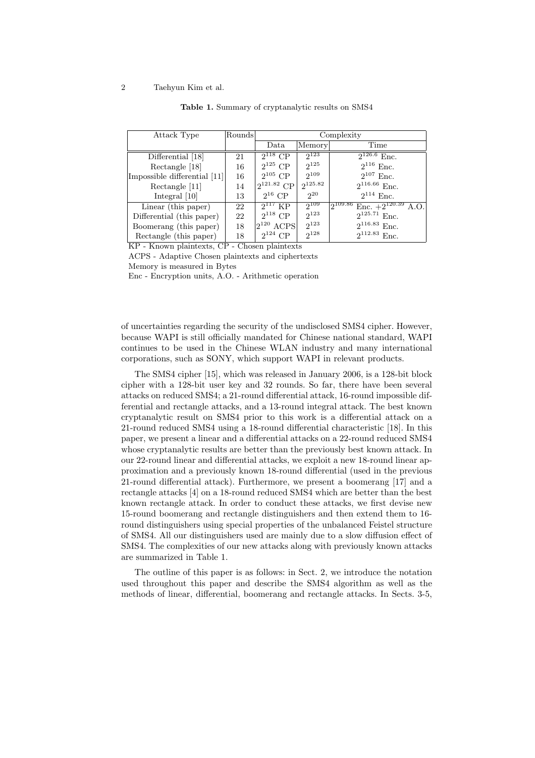| Attack Type                  | Rounds | Complexity      |              |                                          |  |  |
|------------------------------|--------|-----------------|--------------|------------------------------------------|--|--|
|                              |        | Data            | Memory       | Time                                     |  |  |
| Differential [18]            | 21     | $2^{118}$ CP    | $2^{123}$    | $2^{126.6}$ Enc.                         |  |  |
| Rectangle [18]               | 16     | $2^{125}$ CP    | $2^{125}$    | $2^{116}$ Enc.                           |  |  |
| Impossible differential [11] | 16     | $2^{105}$ CP    | $2^{109}$    | $2^{107}$ Enc.                           |  |  |
| Rectangle [11]               | 14     | $2^{121.82}$ CP | $2^{125.82}$ | $2^{116.66}$ Enc.                        |  |  |
| Integral $[10]$              | 13     | $2^{16}$ CP     | $2^{20}$     | $2^{114}$ Enc.                           |  |  |
| Linear (this paper)          | 22     | $2^{117}$ KP    | $2^{109}$    | $12^{109.86}$<br>Enc. $+2^{120.39}$ A.O. |  |  |
| Differential (this paper)    | 22     | $2^{118}$ CP    | $2^{123}$    | $2^{125.71}$ Enc.                        |  |  |
| Boomerang (this paper)       | 18     | $2^{120}$ ACPS  | $2^{123}$    | $2^{116.83}$ Enc.                        |  |  |
| Rectangle (this paper)       | 18     | $2^{124}$ CP    | $2^{128}$    | $2^{112.83}$ Enc.                        |  |  |

#### Table 1. Summary of cryptanalytic results on SMS4

KP - Known plaintexts, CP - Chosen plaintexts

ACPS - Adaptive Chosen plaintexts and ciphertexts

Memory is measured in Bytes

Enc - Encryption units, A.O. - Arithmetic operation

of uncertainties regarding the security of the undisclosed SMS4 cipher. However, because WAPI is still officially mandated for Chinese national standard, WAPI continues to be used in the Chinese WLAN industry and many international corporations, such as SONY, which support WAPI in relevant products.

The SMS4 cipher [15], which was released in January 2006, is a 128-bit block cipher with a 128-bit user key and 32 rounds. So far, there have been several attacks on reduced SMS4; a 21-round differential attack, 16-round impossible differential and rectangle attacks, and a 13-round integral attack. The best known cryptanalytic result on SMS4 prior to this work is a differential attack on a 21-round reduced SMS4 using a 18-round differential characteristic [18]. In this paper, we present a linear and a differential attacks on a 22-round reduced SMS4 whose cryptanalytic results are better than the previously best known attack. In our 22-round linear and differential attacks, we exploit a new 18-round linear approximation and a previously known 18-round differential (used in the previous 21-round differential attack). Furthermore, we present a boomerang [17] and a rectangle attacks [4] on a 18-round reduced SMS4 which are better than the best known rectangle attack. In order to conduct these attacks, we first devise new 15-round boomerang and rectangle distinguishers and then extend them to 16 round distinguishers using special properties of the unbalanced Feistel structure of SMS4. All our distinguishers used are mainly due to a slow diffusion effect of SMS4. The complexities of our new attacks along with previously known attacks are summarized in Table 1.

The outline of this paper is as follows: in Sect. 2, we introduce the notation used throughout this paper and describe the SMS4 algorithm as well as the methods of linear, differential, boomerang and rectangle attacks. In Sects. 3-5,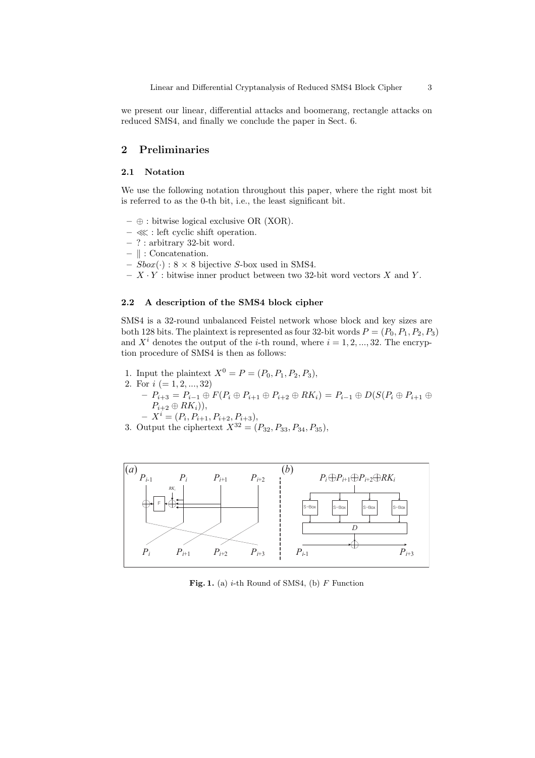we present our linear, differential attacks and boomerang, rectangle attacks on reduced SMS4, and finally we conclude the paper in Sect. 6.

# 2 Preliminaries

# 2.1 Notation

We use the following notation throughout this paper, where the right most bit is referred to as the 0-th bit, i.e., the least significant bit.

- $\oplus$ : bitwise logical exclusive OR (XOR).
- ≪ : left cyclic shift operation.
- ? : arbitrary 32-bit word.
- $-$  || : Concatenation.
- $Sbox(\cdot)$ :  $8 \times 8$  bijective S-box used in SMS4.

 $- X \cdot Y$ : bitwise inner product between two 32-bit word vectors X and Y.

### 2.2 A description of the SMS4 block cipher

SMS4 is a 32-round unbalanced Feistel network whose block and key sizes are both 128 bits. The plaintext is represented as four 32-bit words  $P = (P_0, P_1, P_2, P_3)$ and  $X^i$  denotes the output of the *i*-th round, where  $i = 1, 2, ..., 32$ . The encryption procedure of SMS4 is then as follows:

- 1. Input the plaintext  $X^0 = P = (P_0, P_1, P_2, P_3)$ ,
- 2. For  $i (= 1, 2, ..., 32)$ 
	- $P_{i+3} = P_{i-1} \oplus F(P_i \oplus P_{i+1} \oplus P_{i+2} \oplus RK_i) = P_{i-1} \oplus D(S(P_i \oplus P_{i+1} \oplus$  $P_{i+2} \oplus RK_i)),$

$$
- X^i = (P_i, P_{i+1}, P_{i+2}, P_{i+3}),
$$

3. Output the ciphertext  $X^{32} = (P_{32}, P_{33}, P_{34}, P_{35}),$ 



Fig. 1. (a)  $i$ -th Round of SMS4, (b)  $F$  Function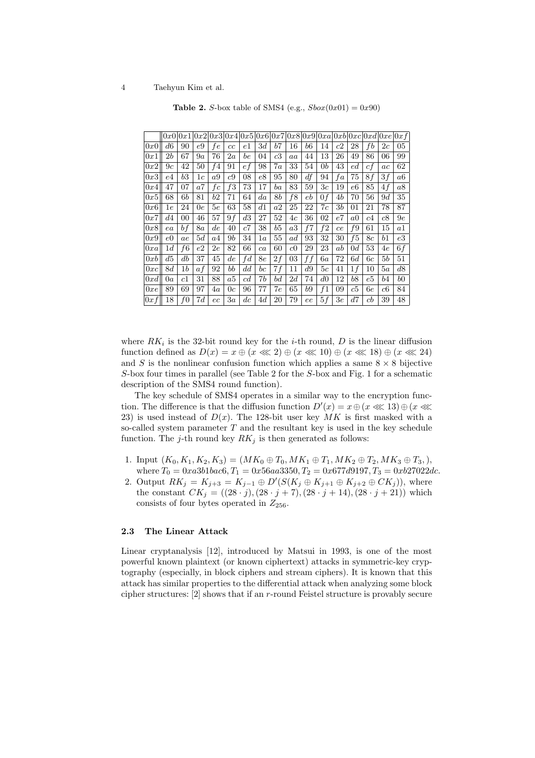|     |               | 0x0 0x1 |     |         |    |             |         |         |         |         |                |                |                |                |                 | $[0x2]0x3]0x4]0x5]0x6]0x7]0x8]0x9]0xa]0xb]0xc]0xd]0xe]0xf$ |
|-----|---------------|---------|-----|---------|----|-------------|---------|---------|---------|---------|----------------|----------------|----------------|----------------|-----------------|------------------------------------------------------------|
| 0x0 | d6            | 90      | e9  | fe      | cc | $_{e1}$     | 3d      | b7      | 16      | b6      | 14             | c2             | 28             | f <sub>b</sub> | 2c              | 05                                                         |
| 0x1 | 2b            | 67      | 9а  | 76      | 2a | be          | 04      | $_{c3}$ | aa      | 44      | 13             | 26             | 49             | 86             | 06              | 99                                                         |
| 0x2 | 9c            | 42      | 50  | f4      | 91 | $\sqrt{e}f$ | 98      | 7a      | 33      | 54      | 0 <sub>b</sub> | 43             | $_{ed}$        | сf             | $_{ac}$         | 62                                                         |
| 0x3 | e4            | b3      | 1c  | a9      | c9 | 08          | e8      | 95      | 80      | df      | 94             | fa             | 75             | 8f             | 3f              | a6                                                         |
| 0x4 | 47            | 07      | a7  | fc      | f3 | 73          | 17      | $^{ba}$ | 83      | 59      | $_{3c}$        | 19             | e6             | 85             | $\overline{4f}$ | a8                                                         |
| 0x5 | 68            | 6b      | 81  | b2      | 71 | 64          | $^{da}$ | $_{8b}$ | f8      | e b     | 0 <sub>f</sub> | 4b             | 70             | 56             | 9d              | 35                                                         |
| 0x6 | $1\mathrm{e}$ | 24      | 0e  | 5e      | 63 | 58          | $^{d1}$ | a2      | 25      | 22      | 7c             | 3 <sub>b</sub> | 01             | 21             | 78              | 87                                                         |
| 0x7 | d4            | 00      | 46  | 57      | 9f | d3          | 27      | 52      | 4c      | 36      | 02             | e7             | a <sub>0</sub> | c4             | $_{c8}$         | 9e                                                         |
| 0x8 | ea            | bf      | 8a  | d e     | 40 | c7          | 38      | b5      | a3      | f7      | f2             | ce             | f9             | 61             | 15              | $_{a1}$                                                    |
| 0x9 | e0            | ae      | 5d  | a4      | 9b | 34          | 1 a     | 55      | ad      | 93      | 32             | 30             | f5             | 8с             | $^{b1}$         | $_{e3}$                                                    |
| 0xa | 1 d           | f6      | e2  | $_{2e}$ | 82 | 66          | ca      | 60      | $_{c0}$ | 29      | 23             | ab             | 0d             | 53             | 4e              | 6f                                                         |
| 0xb | d5            | db      | 37  | 45      | de | fd          | 8e      | 2f      | 03      | f f     | 6а             | 72             | 6d             | 6с             | 5b              | 51                                                         |
| 0xc | 8d            | $_{1b}$ | a f | 92      | bb | dd          | $_{bc}$ | 7f      | 11      | d9      | 5c             | 41             | 1f             | 10             | 5a              | $^{d8}$                                                    |
| 0xd | 0a            | c1      | 31  | 88      | a5 | c d         | 7b      | $^{bd}$ | 2d      | 74      | d0             | 12             | b8             | e5             | b4              | b0                                                         |
| 0xe | 89            | 69      | 97  | $^{4a}$ | 0c | 96          | 77      | 7e      | 65      | $^{b9}$ | f1             | 09             | $_{c5}$        | 6е             | c6              | 84                                                         |
| 0xf | 18            | f0      | 7d  | $_{ec}$ | 3a | $_{dc}$     | $^{4d}$ | 20      | 79      | ee      | 5f             | $3\mathrm{e}$  | d7             | cb             | 39              | 48                                                         |

**Table 2.** S-box table of SMS4 (e.g.,  $Sbox(0x01) = 0x90$ )

where  $RK_i$  is the 32-bit round key for the *i*-th round, D is the linear diffusion function defined as  $D(x) = x \oplus (x \ll 2) \oplus (x \ll 10) \oplus (x \ll 18) \oplus (x \ll 24)$ and S is the nonlinear confusion function which applies a same  $8 \times 8$  bijective S-box four times in parallel (see Table 2 for the S-box and Fig. 1 for a schematic description of the SMS4 round function).

The key schedule of SMS4 operates in a similar way to the encryption function. The difference is that the diffusion function  $D'(x) = x \oplus (x \ll 13) \oplus (x \ll 13)$ 23) is used instead of  $D(x)$ . The 128-bit user key MK is first masked with a so-called system parameter  $T$  and the resultant key is used in the key schedule function. The j-th round key  $RK_i$  is then generated as follows:

- 1. Input  $(K_0, K_1, K_2, K_3) = (MK_0 \oplus T_0, MK_1 \oplus T_1, MK_2 \oplus T_2, MK_3 \oplus T_3,),$ where  $T_0 = 0xa3b1bac6, T_1 = 0x56aa3350, T_2 = 0x677d9197, T_3 = 0xb27022dc.$
- 2. Output  $RK_j = K_{j+3} = K_{j-1} \oplus D'(S(K_j \oplus K_{j+1} \oplus K_{j+2} \oplus CK_j)),$  where the constant  $CK_j = ((28 \cdot j), (28 \cdot j + 7), (28 \cdot j + 14), (28 \cdot j + 21))$  which consists of four bytes operated in  $Z_{256}$ .

### 2.3 The Linear Attack

Linear cryptanalysis [12], introduced by Matsui in 1993, is one of the most powerful known plaintext (or known ciphertext) attacks in symmetric-key cryptography (especially, in block ciphers and stream ciphers). It is known that this attack has similar properties to the differential attack when analyzing some block cipher structures: [2] shows that if an r-round Feistel structure is provably secure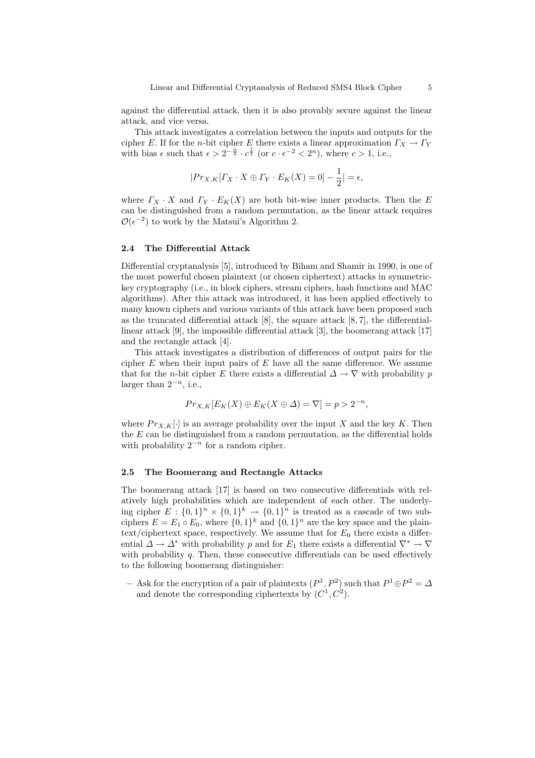against the differential attack, then it is also provably secure against the linear attack, and vice versa.

This attack investigates a correlation between the inputs and outputs for the cipher E. If for the n-bit cipher E there exists a linear approximation  $\Gamma_X \to \Gamma_Y$ with bias  $\epsilon$  such that  $\epsilon > 2^{-\frac{n}{2}} \cdot c^{\frac{1}{2}}$  (or  $c \cdot \epsilon^{-2} < 2^n$ ), where  $c > 1$ , i.e.,

$$
|Pr_{X,K}[F_X \cdot X \oplus F_Y \cdot E_K(X) = 0] - \frac{1}{2}| = \epsilon,
$$

where  $\Gamma_X \cdot X$  and  $\Gamma_Y \cdot E_K(X)$  are both bit-wise inner products. Then the E can be distinguished from a random permutation, as the linear attack requires  $\mathcal{O}(\epsilon^{-2})$  to work by the Matsui's Algorithm 2.

### 2.4 The Differential Attack

Differential cryptanalysis [5], introduced by Biham and Shamir in 1990, is one of the most powerful chosen plaintext (or chosen ciphertext) attacks in symmetrickey cryptography (i.e., in block ciphers, stream ciphers, hash functions and MAC algorithms). After this attack was introduced, it has been applied effectively to many known ciphers and various variants of this attack have been proposed such as the truncated differential attack [8], the square attack [8, 7], the differentiallinear attack [9], the impossible differential attack [3], the boomerang attack [17] and the rectangle attack [4].

This attack investigates a distribution of differences of output pairs for the cipher  $E$  when their input pairs of  $E$  have all the same difference. We assume that for the *n*-bit cipher E there exists a differential  $\Delta \rightarrow \nabla$  with probability p larger than  $2^{-n}$ , i.e.,

$$
Pr_{X,K}[E_K(X) \oplus E_K(X \oplus \Delta) = \nabla] = p > 2^{-n},
$$

where  $Pr_{X,K}[\cdot]$  is an average probability over the input X and the key K. Then the  $E$  can be distinguished from a random permutation, as the differential holds with probability  $2^{-n}$  for a random cipher.

#### 2.5 The Boomerang and Rectangle Attacks

The boomerang attack [17] is based on two consecutive differentials with relatively high probabilities which are independent of each other. The underlying cipher  $E: \{0,1\}^n \times \{0,1\}^k \to \{0,1\}^n$  is treated as a cascade of two subciphers  $E = E_1 \circ E_0$ , where  $\{0, 1\}^k$  and  $\{0, 1\}^n$  are the key space and the plaintext/ciphertext space, respectively. We assume that for  $E_0$  there exists a differential  $\Delta \to \Delta^*$  with probability p and for  $E_1$  there exists a differential  $\nabla^* \to \nabla$ with probability  $q$ . Then, these consecutive differentials can be used effectively to the following boomerang distinguisher:

- Ask for the encryption of a pair of plaintexts  $(P<sup>1</sup>, P<sup>2</sup>)$  such that  $P<sup>1</sup> \oplus P<sup>2</sup> = \Delta$ and denote the corresponding ciphertexts by  $(C^1, C^2)$ .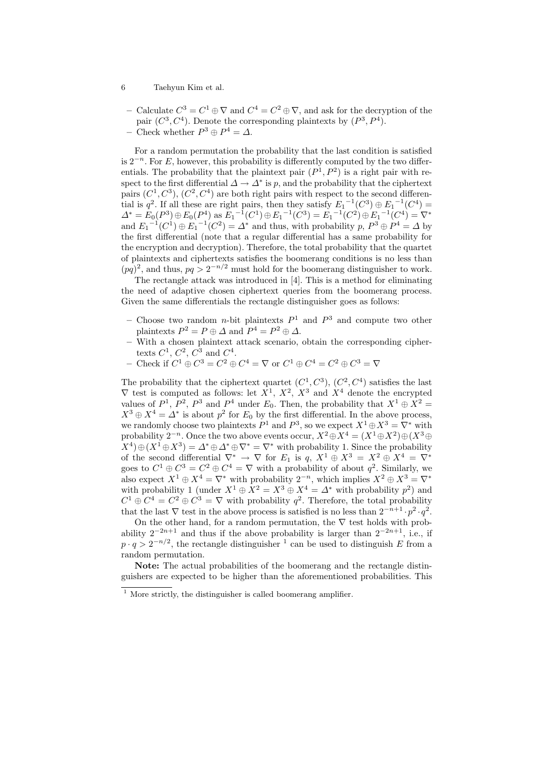- Calculate  $C^3 = C^1 \oplus \nabla$  and  $C^4 = C^2 \oplus \nabla$ , and ask for the decryption of the pair  $(C^3, C^4)$ . Denote the corresponding plaintexts by  $(P^3, P^4)$ .
- Check whether  $P^3 \oplus P^4 = Δ$ .

For a random permutation the probability that the last condition is satisfied is  $2^{-n}$ . For E, however, this probability is differently computed by the two differentials. The probability that the plaintext pair  $(P^1, P^2)$  is a right pair with respect to the first differential  $\Delta \to \Delta^*$  is p, and the probability that the ciphertext pairs  $(C^1, C^3)$ ,  $(C^2, C^4)$  are both right pairs with respect to the second differential is  $q^2$ . If all these are right pairs, then they satisfy  $E_1^{-1}(C^3) \oplus E_1^{-1}(C^4) =$  $\Delta^* = E_0(P^3) \oplus E_0(P^4)$  as  $E_1^{-1}(C^1) \oplus E_1^{-1}(C^3) = E_1^{-1}(C^2) \oplus E_1^{-1}(C^4) = \nabla^*$ and  $E_1^{-1}(C^1) \oplus E_1^{-1}(C^2) = \Delta^*$  and thus, with probability  $p, P^3 \oplus P^4 = \Delta$  by the first differential (note that a regular differential has a same probability for the encryption and decryption). Therefore, the total probability that the quartet of plaintexts and ciphertexts satisfies the boomerang conditions is no less than  $(pq)^2$ , and thus,  $pq > 2^{-n/2}$  must hold for the boomerang distinguisher to work.

The rectangle attack was introduced in [4]. This is a method for eliminating the need of adaptive chosen ciphertext queries from the boomerang process. Given the same differentials the rectangle distinguisher goes as follows:

- Choose two random *n*-bit plaintexts  $P^1$  and  $P^3$  and compute two other plaintexts  $P^2 = P \oplus \Delta$  and  $P^4 = P^2 \oplus \Delta$ .
- With a chosen plaintext attack scenario, obtain the corresponding ciphertexts  $C^1$ ,  $C^2$ ,  $C^3$  and  $C^4$ .
- Check if  $C^1 \oplus C^3 = C^2 \oplus C^4 = \nabla$  or  $C^1 \oplus C^4 = C^2 \oplus C^3 = \nabla$

The probability that the ciphertext quartet  $(C^1, C^3)$ ,  $(C^2, C^4)$  satisfies the last  $\nabla$  test is computed as follows: let  $X^1$ ,  $X^2$ ,  $X^3$  and  $X^4$  denote the encrypted values of  $P^1$ ,  $P^2$ ,  $P^3$  and  $P^4$  under  $E_0$ . Then, the probability that  $X^1 \oplus X^2 =$  $X^3 \oplus X^4 = \Delta^*$  is about  $p^2$  for  $E_0$  by the first differential. In the above process, we randomly choose two plaintexts  $P^1$  and  $P^3$ , so we expect  $X^1 \oplus X^3 = \nabla^*$  with probability  $2^{-n}$ . Once the two above events occur,  $X^2 \oplus X^4 = (X^1 \oplus X^2) \oplus (X^3 \oplus Y^4)$  $(X^4) \oplus (X^1 \oplus X^3) = \Delta^* \oplus \Delta^* \oplus \nabla^* = \nabla^*$  with probability 1. Since the probability of the second differential  $\nabla^* \to \nabla$  for  $E_1$  is  $q, X^1 \oplus X^3 = X^2 \oplus X^4 = \nabla^*$ goes to  $C^1 \oplus C^3 = C^2 \oplus C^4 = \nabla$  with a probability of about  $q^2$ . Similarly, we also expect  $X^1 \oplus X^4 = \nabla^*$  with probability  $2^{-n}$ , which implies  $X^2 \oplus X^3 = \nabla^*$ with probability 1 (under  $X^1 \oplus X^2 = X^3 \oplus X^4 = \Delta^*$  with probability  $p^2$ ) and  $C^1 \oplus C^4 = C^2 \oplus C^3 = \nabla$  with probability  $q^2$ . Therefore, the total probability that the last  $\nabla$  test in the above process is satisfied is no less than  $2^{-n+1} \cdot p^2 \cdot q^2$ .

On the other hand, for a random permutation, the  $\nabla$  test holds with probability  $2^{-2n+1}$  and thus if the above probability is larger than  $2^{-2n+1}$ , i.e., if  $p \cdot q > 2^{-n/2}$ , the rectangle distinguisher <sup>1</sup> can be used to distinguish E from a random permutation.

Note: The actual probabilities of the boomerang and the rectangle distinguishers are expected to be higher than the aforementioned probabilities. This

 $1$  More strictly, the distinguisher is called boomerang amplifier.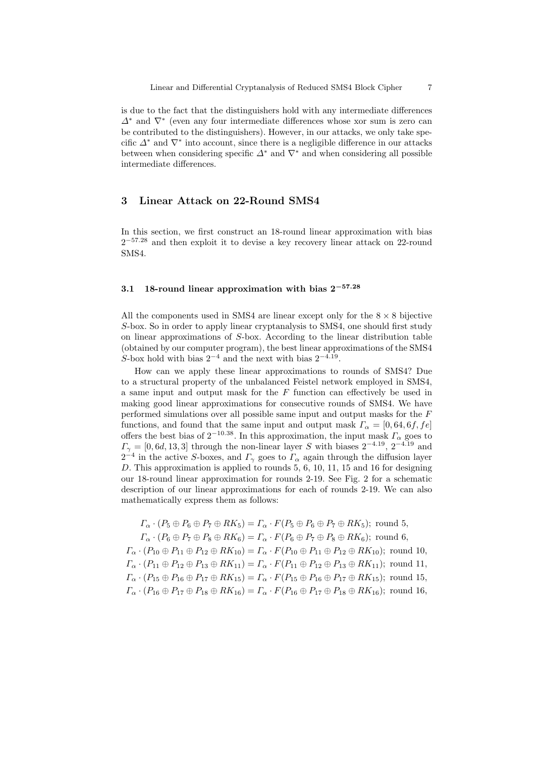is due to the fact that the distinguishers hold with any intermediate differences ∆<sup>∗</sup> and ∇<sup>∗</sup> (even any four intermediate differences whose xor sum is zero can be contributed to the distinguishers). However, in our attacks, we only take specific  $\Delta^*$  and  $\nabla^*$  into account, since there is a negligible difference in our attacks between when considering specific  $\Delta^*$  and  $\nabla^*$  and when considering all possible intermediate differences.

# 3 Linear Attack on 22-Round SMS4

In this section, we first construct an 18-round linear approximation with bias  $2^{-57.28}$  and then exploit it to devise a key recovery linear attack on 22-round SMS4.

### 3.1 18-round linear approximation with bias  $2^{-57.28}$

All the components used in SMS4 are linear except only for the  $8 \times 8$  bijective S-box. So in order to apply linear cryptanalysis to SMS4, one should first study on linear approximations of S-box. According to the linear distribution table (obtained by our computer program), the best linear approximations of the SMS4 S-box hold with bias  $2^{-4}$  and the next with bias  $2^{-4.19}$ .

How can we apply these linear approximations to rounds of SMS4? Due to a structural property of the unbalanced Feistel network employed in SMS4, a same input and output mask for the  $F$  function can effectively be used in making good linear approximations for consecutive rounds of SMS4. We have performed simulations over all possible same input and output masks for the F functions, and found that the same input and output mask  $\Gamma_{\alpha} = [0, 64, 6f, fe]$ offers the best bias of  $2^{-10.38}$ . In this approximation, the input mask  $\Gamma_{\alpha}$  goes to  $\Gamma_{\gamma} = [0, 6d, 13, 3]$  through the non-linear layer S with biases  $2^{-4.19}$ ,  $2^{-4.19}$  and  $2^{-4}$  in the active S-boxes, and  $\Gamma_{\gamma}$  goes to  $\Gamma_{\alpha}$  again through the diffusion layer D. This approximation is applied to rounds 5, 6, 10, 11, 15 and 16 for designing our 18-round linear approximation for rounds 2-19. See Fig. 2 for a schematic description of our linear approximations for each of rounds 2-19. We can also mathematically express them as follows:

 $\Gamma_{\alpha} \cdot (P_5 \oplus P_6 \oplus P_7 \oplus RK_5) = \Gamma_{\alpha} \cdot F(P_5 \oplus P_6 \oplus P_7 \oplus RK_5);$  round 5,  $\Gamma_{\alpha} \cdot (P_6 \oplus P_7 \oplus P_8 \oplus RK_6) = \Gamma_{\alpha} \cdot F(P_6 \oplus P_7 \oplus P_8 \oplus RK_6);$  round 6,  $\Gamma_{\alpha} \cdot (P_{10} \oplus P_{11} \oplus P_{12} \oplus RK_{10}) = \Gamma_{\alpha} \cdot F(P_{10} \oplus P_{11} \oplus P_{12} \oplus RK_{10});$  round 10,  $\Gamma_{\alpha} \cdot (P_{11} \oplus P_{12} \oplus P_{13} \oplus RK_{11}) = \Gamma_{\alpha} \cdot F(P_{11} \oplus P_{12} \oplus P_{13} \oplus RK_{11});$  round 11,  $\Gamma_{\alpha} \cdot (P_{15} \oplus P_{16} \oplus P_{17} \oplus RK_{15}) = \Gamma_{\alpha} \cdot F(P_{15} \oplus P_{16} \oplus P_{17} \oplus RK_{15});$  round 15,  $\Gamma_{\alpha} \cdot (P_{16} \oplus P_{17} \oplus P_{18} \oplus RK_{16}) = \Gamma_{\alpha} \cdot F(P_{16} \oplus P_{17} \oplus P_{18} \oplus RK_{16});$  round 16,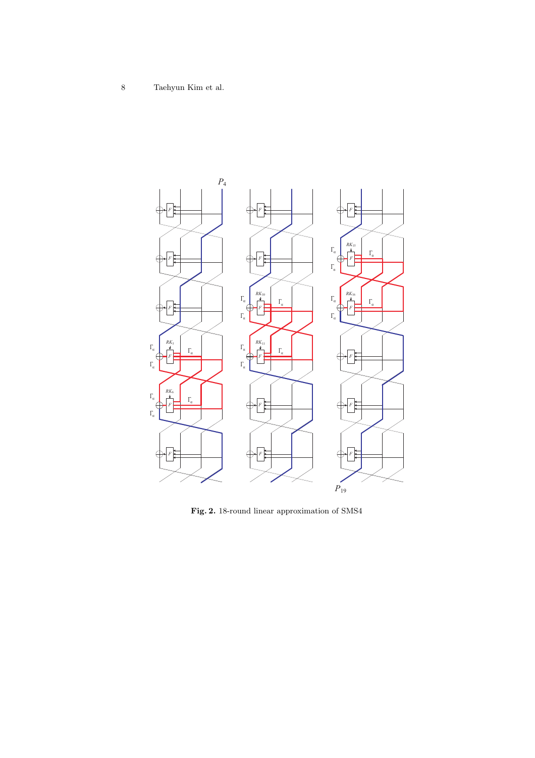

Fig. 2. 18-round linear approximation of SMS4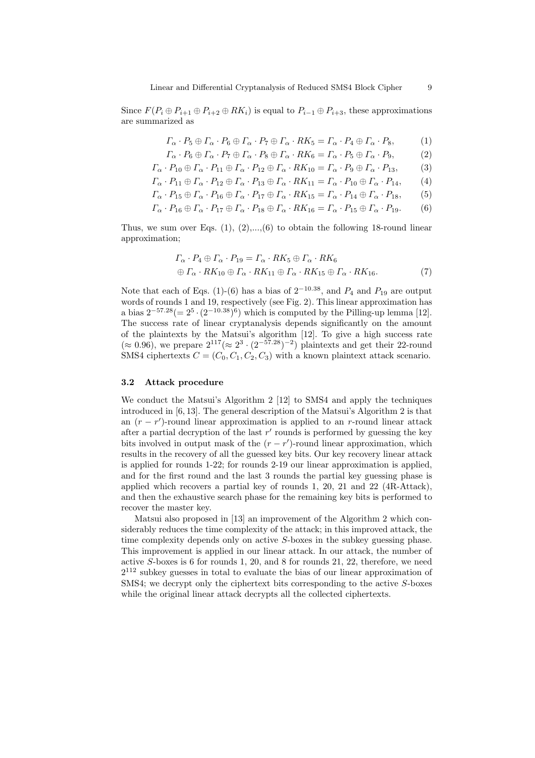Since  $F(P_i \oplus P_{i+1} \oplus P_{i+2} \oplus RK_i)$  is equal to  $P_{i-1} \oplus P_{i+3}$ , these approximations are summarized as

$$
\Gamma_{\alpha} \cdot P_5 \oplus \Gamma_{\alpha} \cdot P_6 \oplus \Gamma_{\alpha} \cdot P_7 \oplus \Gamma_{\alpha} \cdot RK_5 = \Gamma_{\alpha} \cdot P_4 \oplus \Gamma_{\alpha} \cdot P_8, \tag{1}
$$

$$
\Gamma_{\alpha} \cdot P_6 \oplus \Gamma_{\alpha} \cdot P_7 \oplus \Gamma_{\alpha} \cdot P_8 \oplus \Gamma_{\alpha} \cdot RK_6 = \Gamma_{\alpha} \cdot P_5 \oplus \Gamma_{\alpha} \cdot P_9, \tag{2}
$$

$$
\Gamma_{\alpha} \cdot P_{10} \oplus \Gamma_{\alpha} \cdot P_{11} \oplus \Gamma_{\alpha} \cdot P_{12} \oplus \Gamma_{\alpha} \cdot RK_{10} = \Gamma_{\alpha} \cdot P_9 \oplus \Gamma_{\alpha} \cdot P_{13},\tag{3}
$$

$$
\Gamma_{\alpha} \cdot P_{11} \oplus \Gamma_{\alpha} \cdot P_{12} \oplus \Gamma_{\alpha} \cdot P_{13} \oplus \Gamma_{\alpha} \cdot RK_{11} = \Gamma_{\alpha} \cdot P_{10} \oplus \Gamma_{\alpha} \cdot P_{14},\qquad(4)
$$

$$
\Gamma_{\alpha} \cdot P_{15} \oplus \Gamma_{\alpha} \cdot P_{16} \oplus \Gamma_{\alpha} \cdot P_{17} \oplus \Gamma_{\alpha} \cdot RK_{15} = \Gamma_{\alpha} \cdot P_{14} \oplus \Gamma_{\alpha} \cdot P_{18},\tag{5}
$$

$$
\Gamma_{\alpha} \cdot P_{16} \oplus \Gamma_{\alpha} \cdot P_{17} \oplus \Gamma_{\alpha} \cdot P_{18} \oplus \Gamma_{\alpha} \cdot RK_{16} = \Gamma_{\alpha} \cdot P_{15} \oplus \Gamma_{\alpha} \cdot P_{19}. \tag{6}
$$

Thus, we sum over Eqs.  $(1), (2),..., (6)$  to obtain the following 18-round linear approximation;

$$
\begin{aligned} \Gamma_{\alpha} \cdot P_4 &\oplus \Gamma_{\alpha} \cdot P_{19} = \Gamma_{\alpha} \cdot RK_5 \oplus \Gamma_{\alpha} \cdot RK_6 \\ \oplus \Gamma_{\alpha} \cdot RK_{10} &\oplus \Gamma_{\alpha} \cdot RK_{11} \oplus \Gamma_{\alpha} \cdot RK_{15} \oplus \Gamma_{\alpha} \cdot RK_{16}. \end{aligned} \tag{7}
$$

Note that each of Eqs. (1)-(6) has a bias of  $2^{-10.38}$ , and  $P_4$  and  $P_{19}$  are output words of rounds 1 and 19, respectively (see Fig. 2). This linear approximation has a bias  $2^{-57.28} (= 2^5 \cdot (2^{-10.38})^6)$  which is computed by the Pilling-up lemma [12]. The success rate of linear cryptanalysis depends significantly on the amount of the plaintexts by the Matsui's algorithm [12]. To give a high success rate  $(\approx 0.96)$ , we prepare  $2^{117} (\approx 2^3 \cdot (2^{-57.28})^{-2})$  plaintexts and get their 22-round SMS4 ciphertexts  $C = (C_0, C_1, C_2, C_3)$  with a known plaintext attack scenario.

### 3.2 Attack procedure

We conduct the Matsui's Algorithm 2 [12] to SMS4 and apply the techniques introduced in [6, 13]. The general description of the Matsui's Algorithm 2 is that an  $(r - r')$ -round linear approximation is applied to an r-round linear attack after a partial decryption of the last  $r'$  rounds is performed by guessing the key bits involved in output mask of the  $(r - r')$ -round linear approximation, which results in the recovery of all the guessed key bits. Our key recovery linear attack is applied for rounds 1-22; for rounds 2-19 our linear approximation is applied, and for the first round and the last 3 rounds the partial key guessing phase is applied which recovers a partial key of rounds 1, 20, 21 and 22 (4R-Attack), and then the exhaustive search phase for the remaining key bits is performed to recover the master key.

Matsui also proposed in [13] an improvement of the Algorithm 2 which considerably reduces the time complexity of the attack; in this improved attack, the time complexity depends only on active S-boxes in the subkey guessing phase. This improvement is applied in our linear attack. In our attack, the number of active S-boxes is 6 for rounds 1, 20, and 8 for rounds 21, 22, therefore, we need  $2^{112}$  subkey guesses in total to evaluate the bias of our linear approximation of SMS4; we decrypt only the ciphertext bits corresponding to the active S-boxes while the original linear attack decrypts all the collected ciphertexts.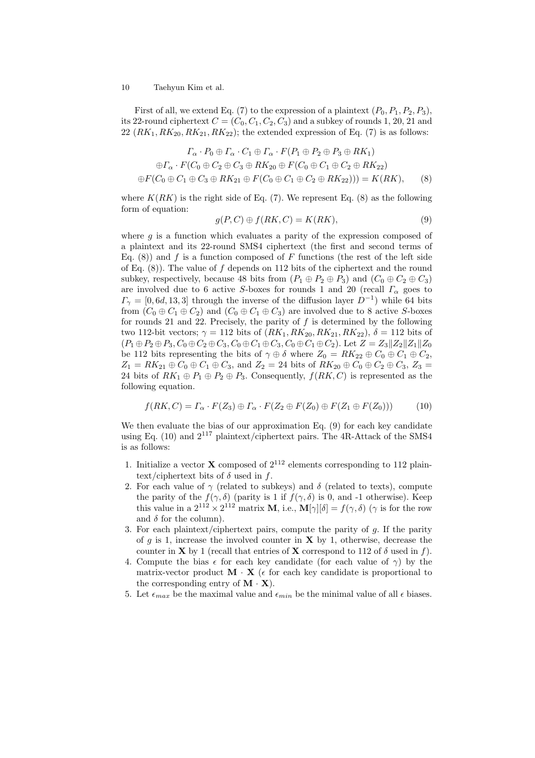First of all, we extend Eq. (7) to the expression of a plaintext  $(P_0, P_1, P_2, P_3)$ , its 22-round ciphertext  $C = (C_0, C_1, C_2, C_3)$  and a subkey of rounds 1, 20, 21 and  $22$   $(RK_1, RK_{20}, RK_{21}, RK_{22})$ ; the extended expression of Eq. (7) is as follows:

$$
\begin{aligned}\n\Gamma_{\alpha} \cdot P_0 &\oplus \Gamma_{\alpha} \cdot C_1 \oplus \Gamma_{\alpha} \cdot F(P_1 \oplus P_2 \oplus P_3 \oplus RK_1) \\
&\oplus \Gamma_{\alpha} \cdot F(C_0 \oplus C_2 \oplus C_3 \oplus RK_{20} \oplus F(C_0 \oplus C_1 \oplus C_2 \oplus RK_{22}) \\
&\oplus F(C_0 \oplus C_1 \oplus C_3 \oplus RK_{21} \oplus F(C_0 \oplus C_1 \oplus C_2 \oplus RK_{22})) = K(RK),\n\end{aligned}\n\tag{8}
$$

where  $K(RK)$  is the right side of Eq. (7). We represent Eq. (8) as the following form of equation:

$$
g(P, C) \oplus f(RK, C) = K(RK),\tag{9}
$$

where  $g$  is a function which evaluates a parity of the expression composed of a plaintext and its 22-round SMS4 ciphertext (the first and second terms of Eq. (8)) and f is a function composed of F functions (the rest of the left side of Eq.  $(8)$ ). The value of f depends on 112 bits of the ciphertext and the round subkey, respectively, because 48 bits from  $(P_1 \oplus P_2 \oplus P_3)$  and  $(C_0 \oplus C_2 \oplus C_3)$ are involved due to 6 active S-boxes for rounds 1 and 20 (recall  $\Gamma_{\alpha}$  goes to  $\Gamma_{\gamma} = [0, 6d, 13, 3]$  through the inverse of the diffusion layer  $D^{-1}$ ) while 64 bits from  $(C_0 \oplus C_1 \oplus C_2)$  and  $(C_0 \oplus C_1 \oplus C_3)$  are involved due to 8 active S-boxes for rounds 21 and 22. Precisely, the parity of  $f$  is determined by the following two 112-bit vectors;  $\gamma = 112$  bits of  $(RK_1, RK_{20}, RK_{21}, RK_{22}), \delta = 112$  bits of  $(P_1 \oplus P_2 \oplus P_3, C_0 \oplus C_2 \oplus C_3, C_0 \oplus C_1 \oplus C_3, C_0 \oplus C_1 \oplus C_2)$ . Let  $Z = Z_3 \| Z_2 \| Z_1 \| Z_0$ be 112 bits representing the bits of  $\gamma \oplus \delta$  where  $Z_0 = RK_{22} \oplus C_0 \oplus C_1 \oplus C_2$ ,  $Z_1 = RK_{21} \oplus C_0 \oplus C_1 \oplus C_3$ , and  $Z_2 = 24$  bits of  $RK_{20} \oplus C_0 \oplus C_2 \oplus C_3$ ,  $Z_3 =$ 24 bits of  $RK_1 \oplus P_1 \oplus P_2 \oplus P_3$ . Consequently,  $f(RK, C)$  is represented as the following equation.

$$
f(RK, C) = \Gamma_{\alpha} \cdot F(Z_3) \oplus \Gamma_{\alpha} \cdot F(Z_2 \oplus F(Z_0) \oplus F(Z_1 \oplus F(Z_0))) \tag{10}
$$

We then evaluate the bias of our approximation Eq. (9) for each key candidate using Eq. (10) and  $2^{117}$  plaintext/ciphertext pairs. The 4R-Attack of the SMS4 is as follows:

- 1. Initialize a vector **X** composed of  $2^{112}$  elements corresponding to 112 plaintext/ciphertext bits of  $\delta$  used in f.
- 2. For each value of  $\gamma$  (related to subkeys) and  $\delta$  (related to texts), compute the parity of the  $f(\gamma, \delta)$  (parity is 1 if  $f(\gamma, \delta)$  is 0, and -1 otherwise). Keep this value in a  $2^{112} \times 2^{112}$  matrix **M**, i.e., **M**[ $\gamma$ ][ $\delta$ ] =  $f(\gamma, \delta)$  ( $\gamma$  is for the row and  $\delta$  for the column).
- 3. For each plaintext/ciphertext pairs, compute the parity of  $g$ . If the parity of q is 1, increase the involved counter in  $X$  by 1, otherwise, decrease the counter in **X** by 1 (recall that entries of **X** correspond to 112 of  $\delta$  used in f).
- 4. Compute the bias  $\epsilon$  for each key candidate (for each value of  $\gamma$ ) by the matrix-vector product  $\mathbf{M} \cdot \mathbf{X}$  ( $\epsilon$  for each key candidate is proportional to the corresponding entry of  $\mathbf{M} \cdot \mathbf{X}$ .
- 5. Let  $\epsilon_{max}$  be the maximal value and  $\epsilon_{min}$  be the minimal value of all  $\epsilon$  biases.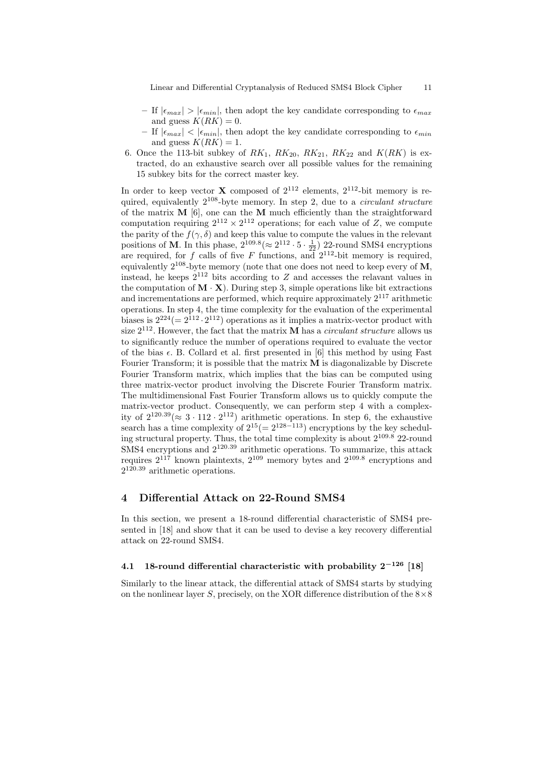Linear and Differential Cryptanalysis of Reduced SMS4 Block Cipher 11

- If  $|\epsilon_{max}| > |\epsilon_{min}|$ , then adopt the key candidate corresponding to  $\epsilon_{max}$ and guess  $K(RK) = 0$ .
- If  $|\epsilon_{max}| < |\epsilon_{min}|$ , then adopt the key candidate corresponding to  $\epsilon_{min}$ and guess  $K(RK) = 1$ .
- 6. Once the 113-bit subkey of  $RK_1$ ,  $RK_{20}$ ,  $RK_{21}$ ,  $RK_{22}$  and  $K(RK)$  is extracted, do an exhaustive search over all possible values for the remaining 15 subkey bits for the correct master key.

In order to keep vector **X** composed of  $2^{112}$  elements,  $2^{112}$ -bit memory is required, equivalently  $2^{108}$ -byte memory. In step 2, due to a *circulant structure* of the matrix  $M$  [6], one can the  $M$  much efficiently than the straightforward computation requiring  $2^{112} \times 2^{112}$  operations; for each value of Z, we compute the parity of the  $f(\gamma, \delta)$  and keep this value to compute the values in the relevant positions of **M**. In this phase,  $2^{109.8} (\approx 2^{112} \cdot 5 \cdot \frac{1}{22})$  22-round SMS4 encryptions are required, for f calls of five F functions, and  $2^{112}$ -bit memory is required, equivalently  $2^{108}$ -byte memory (note that one does not need to keep every of M, instead, he keeps  $2^{112}$  bits according to Z and accesses the relavant values in the computation of  $\mathbf{M} \cdot \mathbf{X}$ ). During step 3, simple operations like bit extractions and incrementations are performed, which require approximately  $2^{117}$  arithmetic operations. In step 4, the time complexity for the evaluation of the experimental biases is  $2^{224} (= 2^{112} \cdot 2^{112})$  operations as it implies a matrix-vector product with size  $2^{112}$ . However, the fact that the matrix **M** has a *circulant structure* allows us to significantly reduce the number of operations required to evaluate the vector of the bias  $\epsilon$ . B. Collard et al. first presented in [6] this method by using Fast Fourier Transform; it is possible that the matrix  $\bf{M}$  is diagonalizable by Discrete Fourier Transform matrix, which implies that the bias can be computed using three matrix-vector product involving the Discrete Fourier Transform matrix. The multidimensional Fast Fourier Transform allows us to quickly compute the matrix-vector product. Consequently, we can perform step 4 with a complexity of  $2^{120.39} (\approx 3 \cdot 112 \cdot 2^{112})$  arithmetic operations. In step 6, the exhaustive search has a time complexity of  $2^{15} (= 2^{128-113})$  encryptions by the key scheduling structural property. Thus, the total time complexity is about  $2^{109.8}$  22-round  $\overrightarrow{SMS4}$  encryptions and  $2^{120.39}$  arithmetic operations. To summarize, this attack requires  $2^{117}$  known plaintexts,  $2^{109}$  memory bytes and  $2^{109.8}$  encryptions and  $2^{120.39}$  arithmetic operations.

# 4 Differential Attack on 22-Round SMS4

In this section, we present a 18-round differential characteristic of SMS4 presented in [18] and show that it can be used to devise a key recovery differential attack on 22-round SMS4.

# 4.1 18-round differential characteristic with probability  $2^{-126}$  [18]

Similarly to the linear attack, the differential attack of SMS4 starts by studying on the nonlinear layer S, precisely, on the XOR difference distribution of the  $8\times8$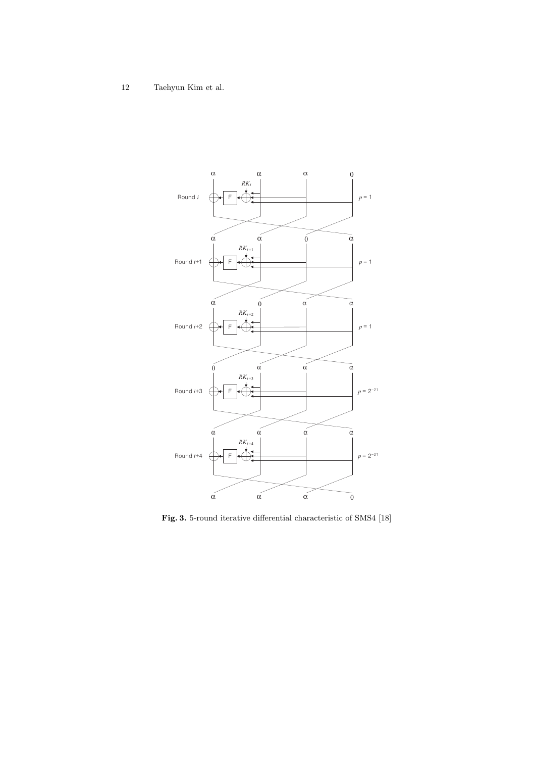

Fig. 3. 5-round iterative differential characteristic of SMS4 [18]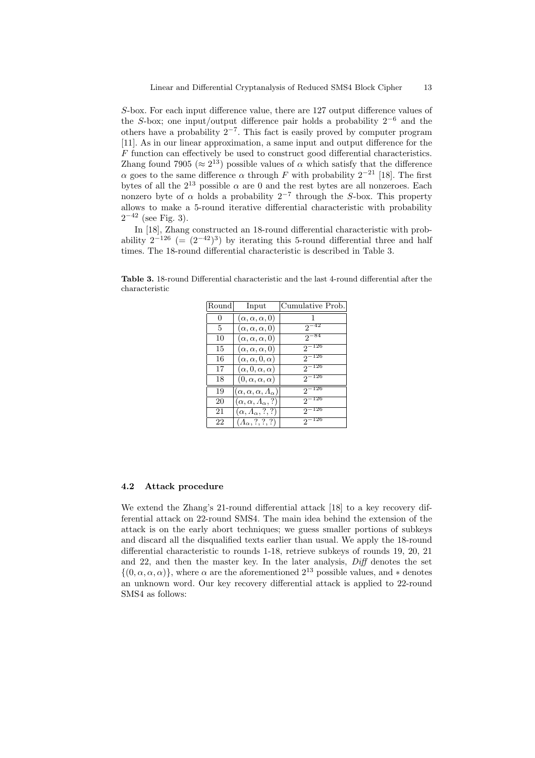S-box. For each input difference value, there are 127 output difference values of the S-box; one input/output difference pair holds a probability  $2^{-6}$  and the others have a probability  $2^{-7}$ . This fact is easily proved by computer program [11]. As in our linear approximation, a same input and output difference for the F function can effectively be used to construct good differential characteristics. Zhang found 7905 ( $\approx 2^{13}$ ) possible values of  $\alpha$  which satisfy that the difference α goes to the same difference α through F with probability  $2^{-21}$  [18]. The first bytes of all the  $2^{13}$  possible  $\alpha$  are 0 and the rest bytes are all nonzeroes. Each nonzero byte of  $\alpha$  holds a probability 2<sup>-7</sup> through the S-box. This property allows to make a 5-round iterative differential characteristic with probability  $2^{-42}$  (see Fig. 3).

In [18], Zhang constructed an 18-round differential characteristic with probability  $2^{-126}$  (=  $(2^{-42})^3$ ) by iterating this 5-round differential three and half times. The 18-round differential characteristic is described in Table 3.

Table 3. 18-round Differential characteristic and the last 4-round differential after the characteristic

| Round    | Input                                        | Cumulative Prob. |
|----------|----------------------------------------------|------------------|
| $\Omega$ | $(\alpha, \alpha, \alpha, 0)$                | 1                |
| 5        | $(\alpha, \alpha, \alpha, 0)$                | $2^{-42}$        |
| 10       | $(\alpha, \alpha, \alpha, 0)$                | $2^{-84}$        |
| 15       | $(\alpha, \alpha, \alpha, 0)$                | $2^{-126}$       |
| 16       | $(\alpha, \alpha, 0, \alpha)$                | $2^{-126}$       |
| 17       | $(\alpha, 0, \alpha, \alpha)$                | $2^{-126}$       |
| 18       | $(0, \alpha, \alpha, \alpha)$                | $2^{-126}$       |
| 19       | $(\alpha, \alpha, \alpha, \Lambda_{\alpha})$ | $2^{-126}$       |
| 20       | $(\alpha, \alpha, \varLambda_{\alpha}, ?)$   | $2^{-126}$       |
| 21       | $(\alpha, \Lambda_\alpha, ?, ?)$             | $2^{-126}$       |
| 22       | $(A_{\alpha},?,?,?)$                         | $2^{-126}$       |

### 4.2 Attack procedure

We extend the Zhang's 21-round differential attack [18] to a key recovery differential attack on 22-round SMS4. The main idea behind the extension of the attack is on the early abort techniques; we guess smaller portions of subkeys and discard all the disqualified texts earlier than usual. We apply the 18-round differential characteristic to rounds 1-18, retrieve subkeys of rounds 19, 20, 21 and 22, and then the master key. In the later analysis,  $Diff$  denotes the set  $\{(0, \alpha, \alpha, \alpha)\}\,$ , where  $\alpha$  are the aforementioned  $2^{13}$  possible values, and  $*$  denotes an unknown word. Our key recovery differential attack is applied to 22-round SMS4 as follows: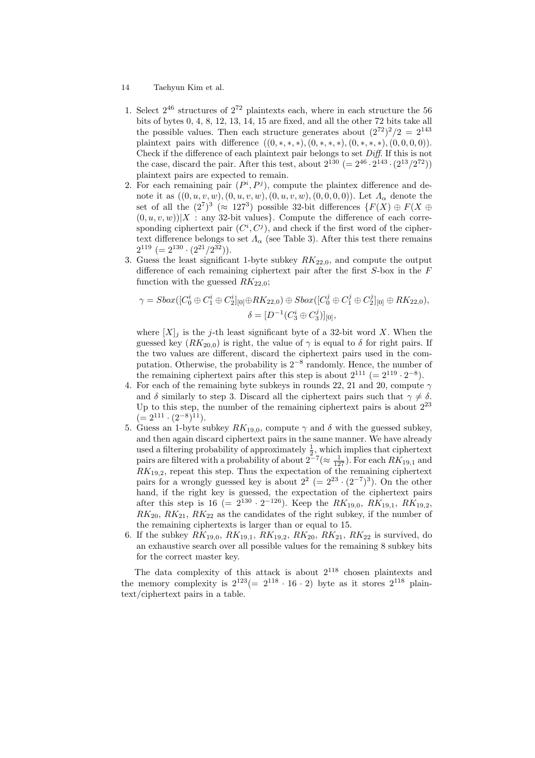- 14 Taehyun Kim et al.
- 1. Select  $2^{46}$  structures of  $2^{72}$  plaintexts each, where in each structure the 56 bits of bytes 0, 4, 8, 12, 13, 14, 15 are fixed, and all the other 72 bits take all the possible values. Then each structure generates about  $(2^{72})^2/2 = 2^{143}$ plaintext pairs with difference  $((0, *, *, *,), (0, *, *, *), (0, *, *, *), (0, 0, 0, 0)).$ Check if the difference of each plaintext pair belongs to set  $Diff.$  If this is not the case, discard the pair. After this test, about  $2^{130}$  (=  $2^{46} \cdot 2^{143} \cdot (2^{13}/2^{72})$ ) plaintext pairs are expected to remain.
- 2. For each remaining pair  $(P^i, P^j)$ , compute the plaintex difference and denote it as  $((0, u, v, w), (0, u, v, w), (0, u, v, w), (0, 0, 0, 0))$ . Let  $\Lambda_{\alpha}$  denote the set of all the  $(2^7)^3$  ( $\approx 127^3$ ) possible 32-bit differences  $\{F(X) \oplus F(X \oplus$  $(0, u, v, w)$ |X : any 32-bit values}. Compute the difference of each corresponding ciphertext pair  $(C^i, C^j)$ , and check if the first word of the ciphertext difference belongs to set  $\Lambda_{\alpha}$  (see Table 3). After this test there remains  $2^{119}$  (=  $2^{130} \cdot (2^{21}/2^{32})$ ).
- 3. Guess the least significant 1-byte subkey  $RK_{22,0}$ , and compute the output difference of each remaining ciphertext pair after the first  $S$ -box in the  $F$ function with the guessed  $RK_{22,0}$ ;

$$
\gamma = Sbox([C_0^i \oplus C_1^i \oplus C_2^i]_{[0]} \oplus RK_{22,0}) \oplus Sbox([C_0^j \oplus C_1^j \oplus C_2^j]_{[0]} \oplus RK_{22,0}),
$$
  

$$
\delta = [D^{-1}(C_3^i \oplus C_3^j)]_{[0]},
$$

where  $[X]_i$  is the j-th least significant byte of a 32-bit word X. When the guessed key  $(RK_{20,0})$  is right, the value of  $\gamma$  is equal to  $\delta$  for right pairs. If the two values are different, discard the ciphertext pairs used in the computation. Otherwise, the probability is  $2^{-8}$  randomly. Hence, the number of the remaining ciphertext pairs after this step is about  $2^{111} (= 2^{119} \cdot 2^{-8})$ .

- 4. For each of the remaining byte subkeys in rounds 22, 21 and 20, compute  $\gamma$ and  $\delta$  similarly to step 3. Discard all the ciphertext pairs such that  $\gamma \neq \delta$ . Up to this step, the number of the remaining ciphertext pairs is about  $2^{23}$  $(= 2^{111} \cdot (2^{-8})^{11}).$
- 5. Guess an 1-byte subkey  $RK_{19,0}$ , compute  $\gamma$  and  $\delta$  with the guessed subkey, and then again discard ciphertext pairs in the same manner. We have already used a filtering probability of approximately  $\frac{1}{2}$ , which implies that ciphertext pairs are filtered with a probability of about  $2^{-7} (\approx \frac{1}{127})$ . For each  $RK_{19,1}$  and  $RK_{19,2}$ , repeat this step. Thus the expectation of the remaining ciphertext pairs for a wrongly guessed key is about  $2^2$  (=  $2^{23} \cdot (2^{-7})^3$ ). On the other hand, if the right key is guessed, the expectation of the ciphertext pairs after this step is 16 (=  $2^{130} \cdot 2^{-126}$ ). Keep the  $RK_{19,0}, RK_{19,1}, RK_{19,2},$  $RK_{20}$ ,  $RK_{21}$ ,  $RK_{22}$  as the candidates of the right subkey, if the number of the remaining ciphertexts is larger than or equal to 15.
- 6. If the subkey  $RK_{19,0}$ ,  $RK_{19,1}$ ,  $RK_{19,2}$ ,  $RK_{20}$ ,  $RK_{21}$ ,  $RK_{22}$  is survived, do an exhaustive search over all possible values for the remaining 8 subkey bits for the correct master key.

The data complexity of this attack is about  $2^{118}$  chosen plaintexts and the memory complexity is  $2^{123} (= 2^{118} \cdot 16 \cdot 2)$  byte as it stores  $2^{118}$  plaintext/ciphertext pairs in a table.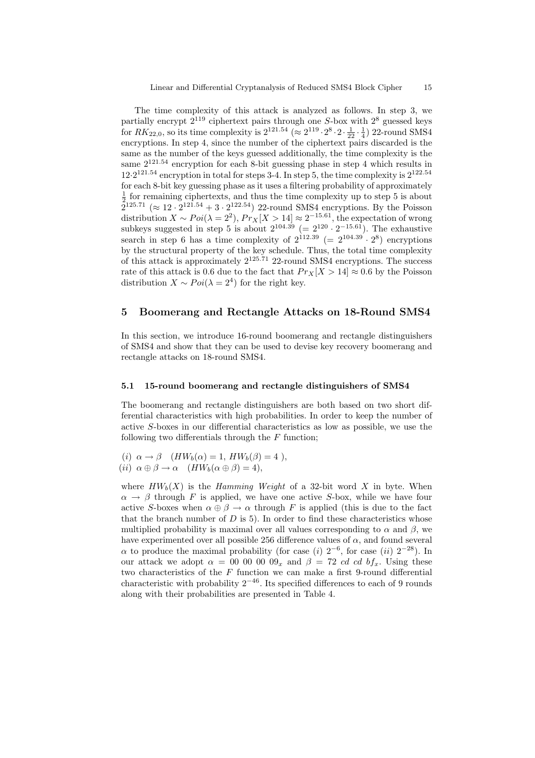The time complexity of this attack is analyzed as follows. In step 3, we partially encrypt  $2^{119}$  ciphertext pairs through one S-box with  $2^8$  guessed keys for  $RK_{22,0}$ , so its time complexity is  $2^{121.54}$  ( $\approx 2^{119} \cdot 2^8 \cdot 2 \cdot \frac{1}{22} \cdot \frac{1}{4}$ ) 22-round SMS4 encryptions. In step 4, since the number of the ciphertext pairs discarded is the same as the number of the keys guessed additionally, the time complexity is the same 2<sup>121</sup>.<sup>54</sup> encryption for each 8-bit guessing phase in step 4 which results in  $12 \cdot 2^{121.54}$  encryption in total for steps 3-4. In step 5, the time complexity is  $2^{122.54}$ for each 8-bit key guessing phase as it uses a filtering probability of approximately  $\frac{1}{2}$  for remaining ciphertexts, and thus the time complexity up to step 5 is about  $\bar{2}^{125.71}$  ( $\approx 12 \cdot 2^{121.54} + 3 \cdot 2^{122.54}$ ) 22-round SMS4 encryptions. By the Poisson distribution  $X \sim Poi(\lambda = 2^2)$ ,  $Pr_X[X > 14] \approx 2^{-15.61}$ , the expectation of wrong subkeys suggested in step 5 is about  $2^{104.39}$  (=  $2^{120} \cdot 2^{-15.61}$ ). The exhaustive search in step 6 has a time complexity of  $2^{112.39}$  (=  $2^{104.39} \cdot 2^8$ ) encryptions by the structural property of the key schedule. Thus, the total time complexity of this attack is approximately  $2^{125.71}$  22-round SMS4 encryptions. The success rate of this attack is 0.6 due to the fact that  $Pr_X[X > 14] \approx 0.6$  by the Poisson distribution  $X \sim Poi(\lambda = 2^4)$  for the right key.

### 5 Boomerang and Rectangle Attacks on 18-Round SMS4

In this section, we introduce 16-round boomerang and rectangle distinguishers of SMS4 and show that they can be used to devise key recovery boomerang and rectangle attacks on 18-round SMS4.

#### 5.1 15-round boomerang and rectangle distinguishers of SMS4

The boomerang and rectangle distinguishers are both based on two short differential characteristics with high probabilities. In order to keep the number of active S-boxes in our differential characteristics as low as possible, we use the following two differentials through the  $F$  function;

(i)  $\alpha \rightarrow \beta$  ( $HW_b(\alpha) = 1$ ,  $HW_b(\beta) = 4$ ), (ii)  $\alpha \oplus \beta \rightarrow \alpha$  ( $HW_b(\alpha \oplus \beta) = 4$ ),

where  $HW_b(X)$  is the Hamming Weight of a 32-bit word X in byte. When  $\alpha \rightarrow \beta$  through F is applied, we have one active S-box, while we have four active S-boxes when  $\alpha \oplus \beta \rightarrow \alpha$  through F is applied (this is due to the fact that the branch number of  $D$  is 5). In order to find these characteristics whose multiplied probability is maximal over all values corresponding to  $\alpha$  and  $\beta$ , we have experimented over all possible 256 difference values of  $\alpha$ , and found several  $\alpha$  to produce the maximal probability (for case (i) 2<sup>-6</sup>, for case (ii) 2<sup>-28</sup>). In our attack we adopt  $\alpha = 00000000g_x$  and  $\beta = 72$  *cd cd bf<sub>x</sub></sub>*. Using these two characteristics of the  $F$  function we can make a first 9-round differential characteristic with probability  $2^{-46}$ . Its specified differences to each of 9 rounds along with their probabilities are presented in Table 4.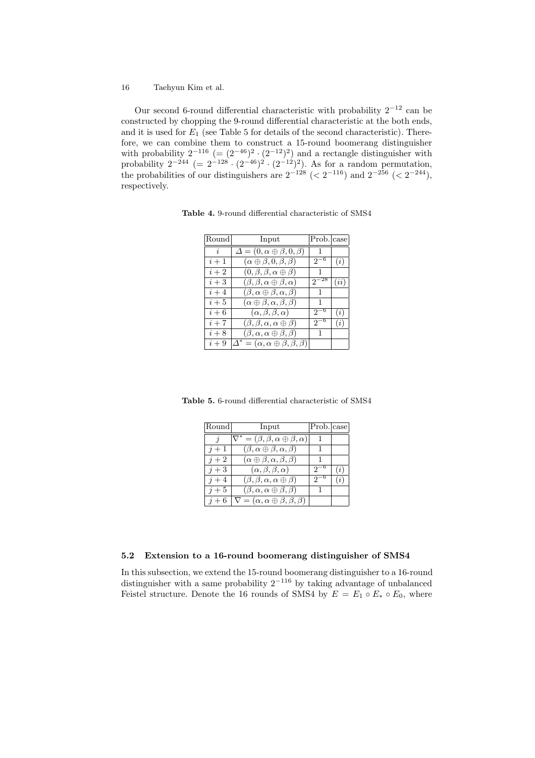Our second 6-round differential characteristic with probability  $2^{-12}$  can be constructed by chopping the 9-round differential characteristic at the both ends, and it is used for  $E_1$  (see Table 5 for details of the second characteristic). Therefore, we can combine them to construct a 15-round boomerang distinguisher with probability  $2^{-116}$  (=  $(2^{-46})^2 \cdot (2^{-12})^2$ ) and a rectangle distinguisher with probability  $2^{-244}$  (=  $2^{-128} \cdot (2^{-46})^2 \cdot (2^{-12})^2$ ). As for a random permutation, the probabilities of our distinguishers are  $2^{-128}$  (<  $2^{-116}$ ) and  $2^{-256}$  (<  $2^{-244}$ ), respectively.

Table 4. 9-round differential characteristic of SMS4

| Round          | Input                                                    | Prob. case   |         |
|----------------|----------------------------------------------------------|--------------|---------|
| $\overline{i}$ | $\Delta = (0, \alpha \oplus \beta, 0, \beta)$            | $\mathbf{1}$ |         |
| $i+1$          | $(\alpha \oplus \beta, 0, \beta, \beta)$                 | $2^{-9}$     | (i)     |
| $i+2$          | $(0, \beta, \beta, \alpha \oplus \beta)$                 |              |         |
| $i+3$          | $(\beta, \beta, \alpha \oplus \beta, \alpha)$            | 27           | $\iota$ |
| $i+4$          | $(\beta, \alpha \oplus \beta, \alpha, \beta)$            | -1           |         |
| $i+5$          | $(\alpha \oplus \beta, \alpha, \beta, \beta)$            | 1            |         |
| $i+6$          | $(\alpha, \beta, \beta, \alpha)$                         | $2^{-}$      | (i)     |
| $i+7$          | $(\beta, \beta, \alpha, \alpha \oplus \beta)$            | $2^{-6}$     | (i)     |
| $i+8$          | $(\beta, \alpha, \alpha \oplus \beta, \beta)$            | $\mathbf{1}$ |         |
| $i+9$          | $\Delta^* = (\alpha, \alpha \oplus \beta, \beta, \beta)$ |              |         |

Table 5. 6-round differential characteristic of SMS4

| Round               | Input                                                    | Prob. case   |     |
|---------------------|----------------------------------------------------------|--------------|-----|
| $\boldsymbol{\eta}$ | $\nabla^* = (\beta, \beta, \alpha \oplus \beta, \alpha)$ |              |     |
| $i+1$               | $(\beta, \alpha \oplus \beta, \alpha, \beta)$            |              |     |
| $i+2$               | $(\alpha \oplus \beta, \alpha, \beta, \beta)$            |              |     |
| $i+3$               | $(\alpha, \beta, \beta, \alpha)$                         |              | (i) |
| $i+4$               | $(\beta, \beta, \alpha, \alpha \oplus \beta)$            |              | (i) |
| $i+5$               | $(\beta, \alpha, \alpha \oplus \beta, \beta)$            | $\mathbf{1}$ |     |
| $i+6$               | $\nabla = (\alpha, \alpha \oplus \beta, \beta, \beta)$   |              |     |

# 5.2 Extension to a 16-round boomerang distinguisher of SMS4

In this subsection, we extend the 15-round boomerang distinguisher to a 16-round distinguisher with a same probability  $2^{-116}$  by taking advantage of unbalanced Feistel structure. Denote the 16 rounds of SMS4 by  $E = E_1 \circ E_* \circ E_0$ , where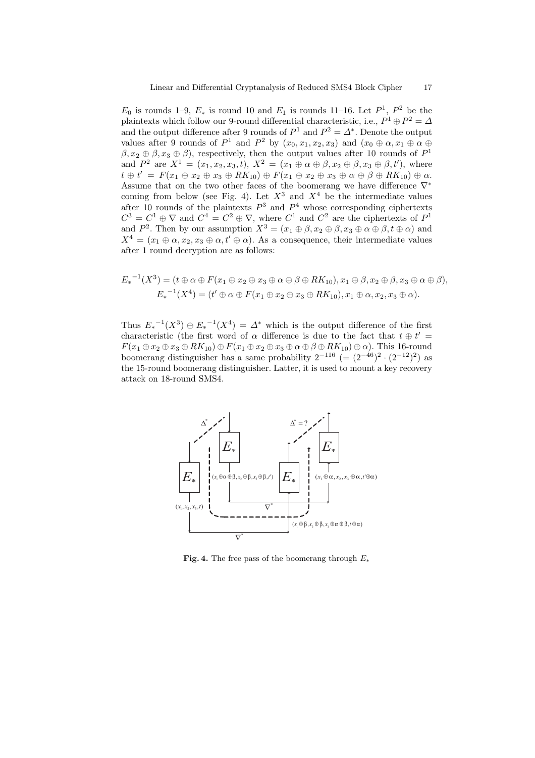$E_0$  is rounds 1–9,  $E_*$  is round 10 and  $E_1$  is rounds 11–16. Let  $P^1$ ,  $P^2$  be the plaintexts which follow our 9-round differential characteristic, i.e.,  $P^1 \oplus P^2 = \Delta$ and the output difference after 9 rounds of  $P^1$  and  $P^2 = \Delta^*$ . Denote the output values after 9 rounds of  $P^1$  and  $P^2$  by  $(x_0, x_1, x_2, x_3)$  and  $(x_0 \oplus \alpha, x_1 \oplus \alpha \oplus \alpha)$  $(\beta, x_2 \oplus \beta, x_3 \oplus \beta)$ , respectively, then the output values after 10 rounds of  $P^1$ and  $P^2$  are  $X^1 = (x_1, x_2, x_3, t), X^2 = (x_1 \oplus \alpha \oplus \beta, x_2 \oplus \beta, x_3 \oplus \beta, t')$ , where  $t \oplus t' = F(x_1 \oplus x_2 \oplus x_3 \oplus RK_{10}) \oplus F(x_1 \oplus x_2 \oplus x_3 \oplus \alpha \oplus \beta \oplus RK_{10}) \oplus \alpha.$ Assume that on the two other faces of the boomerang we have difference  $\nabla^*$ coming from below (see Fig. 4). Let  $X^3$  and  $X^4$  be the intermediate values after 10 rounds of the plaintexts  $P^3$  and  $P^4$  whose corresponding ciphertexts  $C^3 = C^1 \oplus \nabla$  and  $C^4 = C^2 \oplus \nabla$ , where  $C^1$  and  $C^2$  are the ciphertexts of  $P^1$ and  $P^2$ . Then by our assumption  $X^3 = (x_1 \oplus \beta, x_2 \oplus \beta, x_3 \oplus \alpha \oplus \beta, t \oplus \alpha)$  and  $X^4 = (x_1 \oplus \alpha, x_2, x_3 \oplus \alpha, t' \oplus \alpha)$ . As a consequence, their intermediate values after 1 round decryption are as follows:

$$
E_*^{-1}(X^3) = (t \oplus \alpha \oplus F(x_1 \oplus x_2 \oplus x_3 \oplus \alpha \oplus \beta \oplus RK_{10}), x_1 \oplus \beta, x_2 \oplus \beta, x_3 \oplus \alpha \oplus \beta),
$$
  

$$
E_*^{-1}(X^4) = (t' \oplus \alpha \oplus F(x_1 \oplus x_2 \oplus x_3 \oplus RK_{10}), x_1 \oplus \alpha, x_2, x_3 \oplus \alpha).
$$

Thus  $E_*^{-1}(X^3) \oplus E_*^{-1}(X^4) = \Delta^*$  which is the output difference of the first characteristic (the first word of  $\alpha$  difference is due to the fact that  $t \oplus t' =$  $F(x_1 \oplus x_2 \oplus x_3 \oplus RK_{10}) \oplus F(x_1 \oplus x_2 \oplus x_3 \oplus \alpha \oplus \beta \oplus RK_{10}) \oplus \alpha$ . This 16-round boomerang distinguisher has a same probability  $2^{-116}$  (=  $(2^{-46})^2 \cdot (2^{-12})^2$ ) as the 15-round boomerang distinguisher. Latter, it is used to mount a key recovery attack on 18-round SMS4.



Fig. 4. The free pass of the boomerang through  $E_*$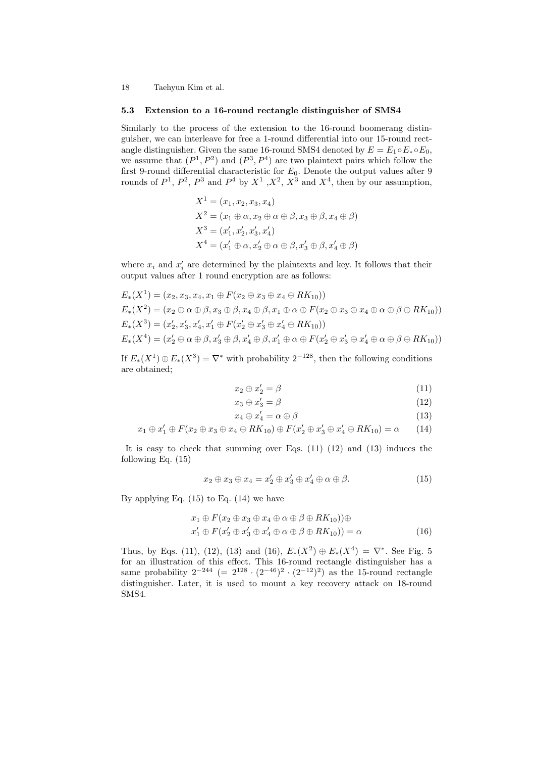#### 5.3 Extension to a 16-round rectangle distinguisher of SMS4

Similarly to the process of the extension to the 16-round boomerang distinguisher, we can interleave for free a 1-round differential into our 15-round rectangle distinguisher. Given the same 16-round SMS4 denoted by  $E = E_1 \circ E_* \circ E_0$ , we assume that  $(P^1, P^2)$  and  $(P^3, P^4)$  are two plaintext pairs which follow the first 9-round differential characteristic for  $E_0$ . Denote the output values after 9 rounds of  $P^1$ ,  $P^2$ ,  $P^3$  and  $P^4$  by  $X^1$ ,  $X^2$ ,  $X^3$  and  $X^4$ , then by our assumption,

$$
X1 = (x1, x2, x3, x4)
$$
  
\n
$$
X2 = (x1 \oplus \alpha, x2 \oplus \alpha \oplus \beta, x3 \oplus \beta, x4 \oplus \beta)
$$
  
\n
$$
X3 = (x'1, x'2, x'3, x'4)
$$
  
\n
$$
X4 = (x'1 \oplus \alpha, x'2 \oplus \alpha \oplus \beta, x'3 \oplus \beta, x'4 \oplus \beta)
$$

where  $x_i$  and  $x'_i$  are determined by the plaintexts and key. It follows that their output values after 1 round encryption are as follows:

$$
E_*(X^1) = (x_2, x_3, x_4, x_1 \oplus F(x_2 \oplus x_3 \oplus x_4 \oplus RK_{10}))
$$
  
\n
$$
E_*(X^2) = (x_2 \oplus \alpha \oplus \beta, x_3 \oplus \beta, x_4 \oplus \beta, x_1 \oplus \alpha \oplus F(x_2 \oplus x_3 \oplus x_4 \oplus \alpha \oplus \beta \oplus RK_{10}))
$$
  
\n
$$
E_*(X^3) = (x_2', x_3', x_4', x_1' \oplus F(x_2' \oplus x_3' \oplus x_4' \oplus RK_{10}))
$$
  
\n
$$
E_*(X^4) = (x_2' \oplus \alpha \oplus \beta, x_3' \oplus \beta, x_4' \oplus \beta, x_1' \oplus \alpha \oplus F(x_2' \oplus x_3' \oplus x_4' \oplus \alpha \oplus \beta \oplus RK_{10}))
$$

If  $E_*(X^1) \oplus E_*(X^3) = \nabla^*$  with probability  $2^{-128}$ , then the following conditions are obtained;

$$
x_2 \oplus x_2' = \beta \tag{11}
$$

$$
x_3 \oplus x_3' = \beta \tag{12}
$$

$$
x_4 \oplus x_4' = \alpha \oplus \beta \tag{13}
$$

$$
x_1 \oplus x_1' \oplus F(x_2 \oplus x_3 \oplus x_4 \oplus RK_{10}) \oplus F(x_2' \oplus x_3' \oplus x_4' \oplus RK_{10}) = \alpha \qquad (14)
$$

It is easy to check that summing over Eqs. (11) (12) and (13) induces the following Eq. (15)

$$
x_2 \oplus x_3 \oplus x_4 = x'_2 \oplus x'_3 \oplus x'_4 \oplus \alpha \oplus \beta. \tag{15}
$$

By applying Eq.  $(15)$  to Eq.  $(14)$  we have

$$
x_1 \oplus F(x_2 \oplus x_3 \oplus x_4 \oplus \alpha \oplus \beta \oplus RK_{10})) \oplus
$$
  
\n
$$
x'_1 \oplus F(x'_2 \oplus x'_3 \oplus x'_4 \oplus \alpha \oplus \beta \oplus RK_{10})) = \alpha
$$
 (16)

Thus, by Eqs. (11), (12), (13) and (16),  $E_*(X^2) \oplus E_*(X^4) = \nabla^*$ . See Fig. 5 for an illustration of this effect. This 16-round rectangle distinguisher has a same probability  $2^{-244}$  (=  $2^{128} \cdot (2^{-46})^2 \cdot (2^{-12})^2$ ) as the 15-round rectangle distinguisher. Later, it is used to mount a key recovery attack on 18-round SMS4.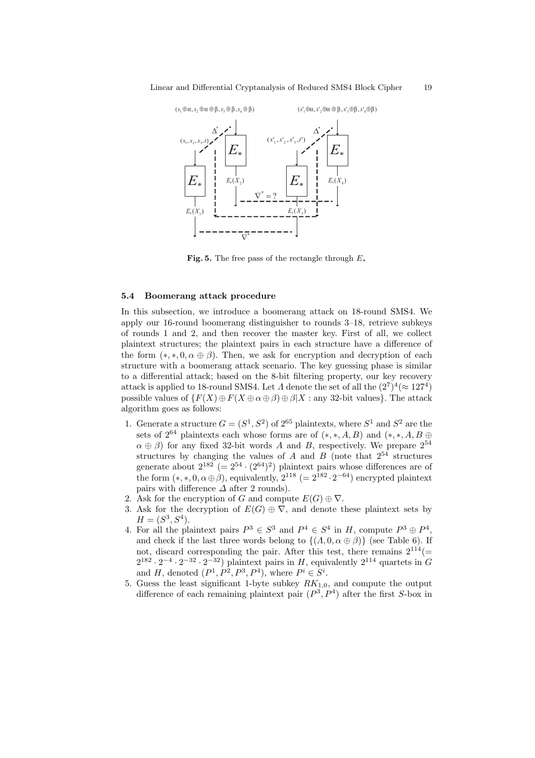

Fig. 5. The free pass of the rectangle through  $E_*$ 

### 5.4 Boomerang attack procedure

In this subsection, we introduce a boomerang attack on 18-round SMS4. We apply our 16-round boomerang distinguisher to rounds 3–18, retrieve subkeys of rounds 1 and 2, and then recover the master key. First of all, we collect plaintext structures; the plaintext pairs in each structure have a difference of the form  $(*,*,0,\alpha \oplus \beta)$ . Then, we ask for encryption and decryption of each structure with a boomerang attack scenario. The key guessing phase is similar to a differential attack; based on the 8-bit filtering property, our key recovery attack is applied to 18-round SMS4. Let  $\Lambda$  denote the set of all the  $(2^7)^4 (\approx 127^4)$ possible values of  $\{F(X) \oplus F(X \oplus \alpha \oplus \beta) \oplus \beta | X : \text{any } 32\text{-bit values}\}.$  The attack algorithm goes as follows:

- 1. Generate a structure  $G = (S^1, S^2)$  of  $2^{65}$  plaintexts, where  $S^1$  and  $S^2$  are the sets of  $2^{64}$  plaintexts each whose forms are of  $(*,*,A,B)$  and  $(*,*,A,B \oplus )$  $\alpha \oplus \beta$ ) for any fixed 32-bit words A and B, respectively. We prepare  $2^{54}$ structures by changing the values of A and B (note that  $2^{54}$  structures generate about  $2^{182}$  (=  $2^{54} \cdot (2^{64})^2$ ) plaintext pairs whose differences are of the form  $(*,*,0,\alpha \oplus \beta)$ , equivalently,  $2^{118}$  (=  $2^{182} \cdot 2^{-64}$ ) encrypted plaintext pairs with difference  $\Delta$  after 2 rounds).
- 2. Ask for the encryption of G and compute  $E(G) \oplus \nabla$ .
- 3. Ask for the decryption of  $E(G) \oplus \nabla$ , and denote these plaintext sets by  $H = (S^3, S^4).$
- 4. For all the plaintext pairs  $P^3 \in S^3$  and  $P^4 \in S^4$  in H, compute  $P^3 \oplus P^4$ , and check if the last three words belong to  $\{(A, 0, \alpha \oplus \beta)\}\$  (see Table 6). If not, discard corresponding the pair. After this test, there remains  $2^{114}$ (=  $2^{182} \cdot 2^{-4} \cdot 2^{-32} \cdot 2^{-32}$ ) plaintext pairs in H, equivalently  $2^{114}$  quartets in G and H, denoted  $(P^1, P^2, P^3, P^4)$ , where  $P^i \in S^i$ .
- 5. Guess the least significant 1-byte subkey  $RK_{1,0}$ , and compute the output difference of each remaining plaintext pair  $(P^3, P^4)$  after the first S-box in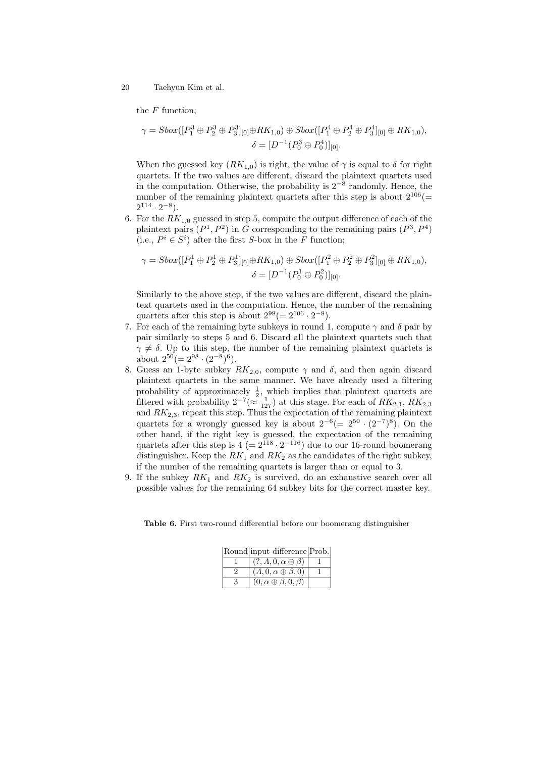the  $F$  function;

$$
\gamma = \text{Sbox}([P_1^3 \oplus P_2^3 \oplus P_3^3]_{[0]} \oplus RK_{1,0}) \oplus \text{Sbox}([P_1^4 \oplus P_2^4 \oplus P_3^4]_{[0]} \oplus RK_{1,0}),
$$

$$
\delta = [D^{-1}(P_0^3 \oplus P_0^4)]_{[0]}.
$$

When the guessed key  $(RK_{1,0})$  is right, the value of  $\gamma$  is equal to  $\delta$  for right quartets. If the two values are different, discard the plaintext quartets used in the computation. Otherwise, the probability is  $2^{-8}$  randomly. Hence, the number of the remaining plaintext quartets after this step is about  $2^{106}$ (=  $2^{114} \cdot 2^{-8}$ ).

6. For the  $RK_{1,0}$  guessed in step 5, compute the output difference of each of the plaintext pairs  $(P^1, P^2)$  in G corresponding to the remaining pairs  $(P^3, P^4)$ (i.e.,  $P^i \in S^i$ ) after the first S-box in the F function;

$$
\gamma = \text{Sbox}([P_1^1 \oplus P_2^1 \oplus P_3^1]_{[0]} \oplus RK_{1,0}) \oplus \text{Sbox}([P_1^2 \oplus P_2^2 \oplus P_3^2]_{[0]} \oplus RK_{1,0}),
$$

$$
\delta = [D^{-1}(P_0^1 \oplus P_0^2)]_{[0]}.
$$

Similarly to the above step, if the two values are different, discard the plaintext quartets used in the computation. Hence, the number of the remaining quartets after this step is about  $2^{98} (= 2^{106} \cdot 2^{-8}).$ 

- 7. For each of the remaining byte subkeys in round 1, compute  $\gamma$  and  $\delta$  pair by pair similarly to steps 5 and 6. Discard all the plaintext quartets such that  $\gamma \neq \delta$ . Up to this step, the number of the remaining plaintext quartets is about  $2^{50} (= 2^{98} \cdot (2^{-8})^6)$ .
- 8. Guess an 1-byte subkey  $RK_{2,0}$ , compute  $\gamma$  and  $\delta$ , and then again discard plaintext quartets in the same manner. We have already used a filtering probability of approximately  $\frac{1}{2}$ , which implies that plaintext quartets are filtered with probability  $2^{-7} (\approx \frac{1}{127})$  at this stage. For each of  $RK_{2,1}$ ,  $RK_{2,3}$ and  $RK_{2,3}$ , repeat this step. Thus the expectation of the remaining plaintext quartets for a wrongly guessed key is about  $2^{-6} (= 2^{50} \cdot (2^{-7})^8)$ . On the other hand, if the right key is guessed, the expectation of the remaining quartets after this step is  $4 (= 2^{118} \cdot 2^{-116})$  due to our 16-round boomerang distinguisher. Keep the  $RK_1$  and  $RK_2$  as the candidates of the right subkey, if the number of the remaining quartets is larger than or equal to 3.
- 9. If the subkey  $RK_1$  and  $RK_2$  is survived, do an exhaustive search over all possible values for the remaining 64 subkey bits for the correct master key.

Table 6. First two-round differential before our boomerang distinguisher

| Round input difference Prob.           |  |
|----------------------------------------|--|
| $(?, \Lambda, 0, \alpha \oplus \beta)$ |  |
| $(\Lambda, 0, \alpha \oplus \beta, 0)$ |  |
| $(0, \alpha \oplus \beta, 0, \beta)$   |  |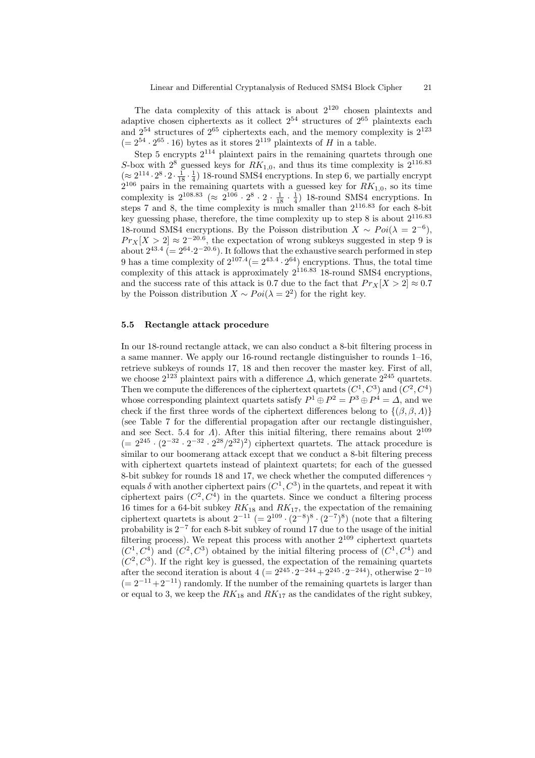The data complexity of this attack is about  $2^{120}$  chosen plaintexts and adaptive chosen ciphertexts as it collect  $2^{54}$  structures of  $2^{65}$  plaintexts each and  $2^{54}$  structures of  $2^{65}$  ciphertexts each, and the memory complexity is  $2^{123}$  $(= 2^{54} \cdot 2^{65} \cdot 16)$  bytes as it stores  $2^{119}$  plaintexts of H in a table.

Step 5 encrypts  $2^{114}$  plaintext pairs in the remaining quartets through one S-box with  $2^8$  guessed keys for  $RK_{1,0}$ , and thus its time complexity is  $2^{116.83}$  $(\approx 2^{114} \cdot 2^8 \cdot 2 \cdot \frac{1}{18} \cdot \frac{1}{4})$  18-round SMS4 encryptions. In step 6, we partially encrypt  $2^{106}$  pairs in the remaining quartets with a guessed key for  $RK_{1,0}$ , so its time complexity is  $2^{108.83}$  ( $\approx 2^{106} \cdot 2^8 \cdot 2 \cdot \frac{1}{18} \cdot \frac{1}{4}$ ) 18-round SMS4 encryptions. In steps 7 and 8, the time complexity is much smaller than  $2^{116.83}$  for each 8-bit key guessing phase, therefore, the time complexity up to step  $8$  is about  $2^{116.83}$ 18-round SMS4 encryptions. By the Poisson distribution  $X \sim Poi(\lambda = 2^{-6})$ ,  $Pr_X[X > 2] \approx 2^{-20.6}$ , the expectation of wrong subkeys suggested in step 9 is about  $2^{43.4}$  (=  $2^{64} \cdot 2^{-20.6}$ ). It follows that the exhaustive search performed in step 9 has a time complexity of  $2^{107.4} (= 2^{43.4} \cdot 2^{64})$  encryptions. Thus, the total time complexity of this attack is approximately  $2^{116.83}$  18-round SMS4 encryptions, and the success rate of this attack is 0.7 due to the fact that  $Pr_X[X > 2] \approx 0.7$ by the Poisson distribution  $X \sim Poi(\lambda = 2^2)$  for the right key.

#### 5.5 Rectangle attack procedure

In our 18-round rectangle attack, we can also conduct a 8-bit filtering process in a same manner. We apply our 16-round rectangle distinguisher to rounds 1–16, retrieve subkeys of rounds 17, 18 and then recover the master key. First of all, we choose  $2^{123}$  plaintext pairs with a difference  $\Delta$ , which generate  $2^{245}$  quartets. Then we compute the differences of the ciphertext quartets  $(C^1, C^3)$  and  $(C^2, C^4)$ whose corresponding plaintext quartets satisfy  $P^1 \oplus P^2 = P^3 \oplus P^4 = \Delta$ , and we check if the first three words of the ciphertext differences belong to  $\{(\beta, \beta, \Lambda)\}$ (see Table 7 for the differential propagation after our rectangle distinguisher, and see Sect. 5.4 for  $\Lambda$ ). After this initial filtering, there remains about  $2^{109}$  $(= 2^{245} \cdot (2^{-32} \cdot 2^{-32} \cdot 2^{28}/2^{32})^2)$  ciphertext quartets. The attack procedure is similar to our boomerang attack except that we conduct a 8-bit filtering precess with ciphertext quartets instead of plaintext quartets; for each of the guessed 8-bit subkey for rounds 18 and 17, we check whether the computed differences  $\gamma$ equals  $\delta$  with another ciphertext pairs  $(C^1, C^3)$  in the quartets, and repeat it with ciphertext pairs  $(C^2, C^4)$  in the quartets. Since we conduct a filtering process 16 times for a 64-bit subkey  $RK_{18}$  and  $RK_{17}$ , the expectation of the remaining ciphertext quartets is about  $2^{-11}$  (=  $2^{109} \cdot (2^{-8})^8 \cdot (2^{-7})^8$ ) (note that a filtering probability is 2<sup>−</sup><sup>7</sup> for each 8-bit subkey of round 17 due to the usage of the initial filtering process). We repeat this process with another  $2^{109}$  ciphertext quartets  $(C^1, C^4)$  and  $(C^2, C^3)$  obtained by the initial filtering process of  $(C^1, C^4)$  and  $(C^2, C^3)$ . If the right key is guessed, the expectation of the remaining quartets after the second iteration is about  $4 (= 2^{245} \cdot 2^{-244} + 2^{245} \cdot 2^{-244})$ , otherwise  $2^{-10}$  $(= 2^{-11} + 2^{-11})$  randomly. If the number of the remaining quartets is larger than or equal to 3, we keep the  $RK_{18}$  and  $RK_{17}$  as the candidates of the right subkey,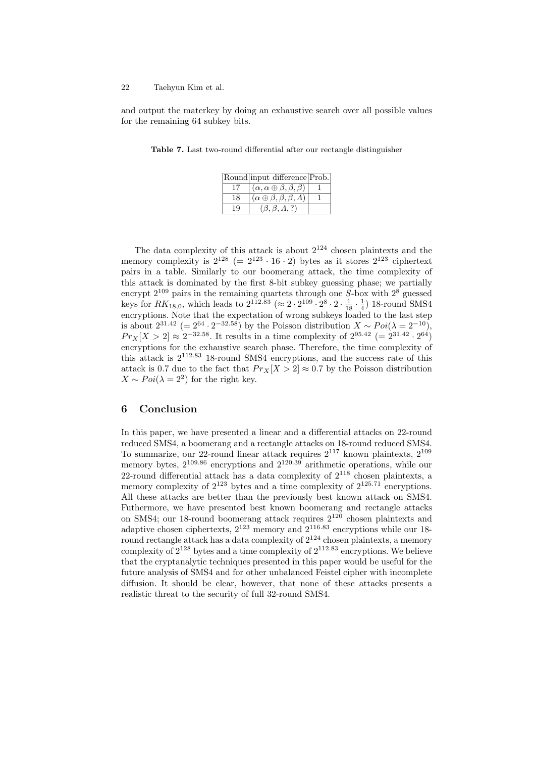and output the materkey by doing an exhaustive search over all possible values for the remaining 64 subkey bits.

|    | Round input difference Prob.                   |  |
|----|------------------------------------------------|--|
|    | $(\alpha, \alpha \oplus \beta, \beta, \beta)$  |  |
| 18 | $(\alpha \oplus \beta, \beta, \beta, \Lambda)$ |  |
|    | $(\beta, \beta, \Lambda, ?)$                   |  |

Table 7. Last two-round differential after our rectangle distinguisher

The data complexity of this attack is about  $2^{124}$  chosen plaintexts and the memory complexity is  $2^{128}$  (=  $2^{123} \cdot 16 \cdot 2$ ) bytes as it stores  $2^{123}$  ciphertext pairs in a table. Similarly to our boomerang attack, the time complexity of this attack is dominated by the first 8-bit subkey guessing phase; we partially encrypt  $2^{109}$  pairs in the remaining quartets through one S-box with  $2^8$  guessed keys for  $RK_{18,0}$ , which leads to  $2^{112.83}$  ( $\approx 2 \cdot 2^{109} \cdot 2^8 \cdot 2 \cdot \frac{1}{18} \cdot \frac{1}{4}$ ) 18-round SMS4 encryptions. Note that the expectation of wrong subkeys loaded to the last step is about  $2^{31.42}$  (=  $2^{64} \cdot 2^{-32.58}$ ) by the Poisson distribution  $X \sim Poi(\lambda = 2^{-10})$ ,  $Pr_X[X > 2] \approx 2^{-32.58}$ . It results in a time complexity of  $2^{95.42}$  (=  $2^{31.42} \cdot 2^{64}$ ) encryptions for the exhaustive search phase. Therefore, the time complexity of this attack is 2<sup>112</sup>.<sup>83</sup> 18-round SMS4 encryptions, and the success rate of this attack is 0.7 due to the fact that  $Pr_X[X > 2] \approx 0.7$  by the Poisson distribution  $X \sim Poi(\lambda = 2^2)$  for the right key.

# 6 Conclusion

In this paper, we have presented a linear and a differential attacks on 22-round reduced SMS4, a boomerang and a rectangle attacks on 18-round reduced SMS4. To summarize, our 22-round linear attack requires  $2^{117}$  known plaintexts,  $2^{109}$ memory bytes,  $2^{109.86}$  encryptions and  $2^{120.39}$  arithmetic operations, while our 22-round differential attack has a data complexity of  $2^{118}$  chosen plaintexts, a memory complexity of  $2^{123}$  bytes and a time complexity of  $2^{125.71}$  encryptions. All these attacks are better than the previously best known attack on SMS4. Futhermore, we have presented best known boomerang and rectangle attacks on SMS4; our 18-round boomerang attack requires  $2^{120}$  chosen plaintexts and adaptive chosen ciphertexts,  $2^{123}$  memory and  $2^{116.83}$  encryptions while our 18round rectangle attack has a data complexity of  $2^{124}$  chosen plaintexts, a memory complexity of  $2^{128}$  bytes and a time complexity of  $2^{112.83}$  encryptions. We believe that the cryptanalytic techniques presented in this paper would be useful for the future analysis of SMS4 and for other unbalanced Feistel cipher with incomplete diffusion. It should be clear, however, that none of these attacks presents a realistic threat to the security of full 32-round SMS4.